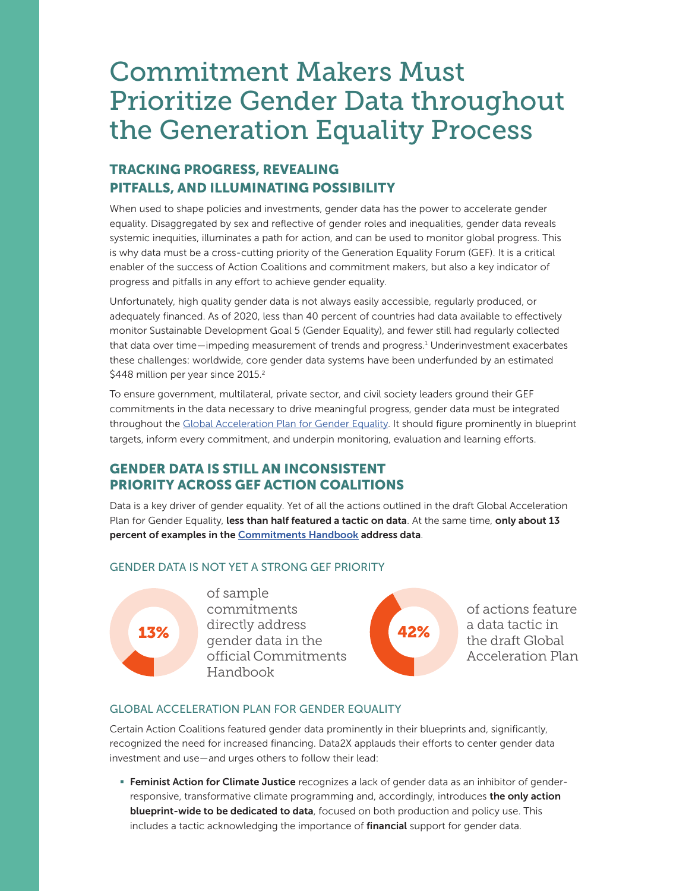# Commitment Makers Must Prioritize Gender Data throughout the Generation Equality Process

# TRACKING PROGRESS, REVEALING PITFALLS, AND ILLUMINATING POSSIBILITY

When used to shape policies and investments, gender data has the power to accelerate gender equality. Disaggregated by sex and reflective of gender roles and inequalities, gender data reveals systemic inequities, illuminates a path for action, and can be used to monitor global progress. This is why data must be a cross-cutting priority of the Generation Equality Forum (GEF). It is a critical enabler of the success of Action Coalitions and commitment makers, but also a key indicator of progress and pitfalls in any effort to achieve gender equality.

Unfortunately, high quality gender data is not always easily accessible, regularly produced, or adequately financed. As of 2020, less than 40 percent of countries had data available to effectively monitor Sustainable Development Goal 5 (Gender Equality), and fewer still had regularly collected that data over time—impeding measurement of trends and progress.<sup>1</sup> Underinvestment exacerbates these challenges: worldwide, core gender data systems have been underfunded by an estimated \$448 million per year since 2015.<sup>2</sup>

To ensure government, multilateral, private sector, and civil society leaders ground their GEF commitments in the data necessary to drive meaningful progress, gender data must be integrated throughout the [Global Acceleration Plan for Gender Equality.](https://forum.generationequality.org/sites/default/files/2021-03/AC_Acceleration%20Plan.Final%20Draft%20%28March%2030%29_EN.pdf) It should figure prominently in blueprint targets, inform every commitment, and underpin monitoring, evaluation and learning efforts.

### GENDER DATA IS STILL AN INCONSISTENT PRIORITY ACROSS GEF ACTION COALITIONS

Data is a key driver of gender equality. Yet of all the actions outlined in the draft Global Acceleration Plan for Gender Equality, less than half featured a tactic on data. At the same time, only about 13 percent of examples in the [Commitments Handbook](https://static1.squarespace.com/static/609d99c149adb21f3531ff37/t/60b6872b5fad6531d0d270a6/1622574892240/AC_Commitments%2BHandbook_VF+%2831+May%29.pdf) address data.

#### GENDER DATA IS NOT YET A STRONG GEF PRIORITY



of sample commitments directly address 13% and directly address **42%** official Commitments Handbook



of actions feature a data tactic in the draft Global Acceleration Plan

#### GLOBAL ACCELERATION PLAN FOR GENDER EQUALITY

Certain Action Coalitions featured gender data prominently in their blueprints and, significantly, recognized the need for increased financing. Data2X applauds their efforts to center gender data investment and use—and urges others to follow their lead:

**Feminist Action for Climate Justice** recognizes a lack of gender data as an inhibitor of genderresponsive, transformative climate programming and, accordingly, introduces the only action blueprint-wide to be dedicated to data, focused on both production and policy use. This includes a tactic acknowledging the importance of financial support for gender data.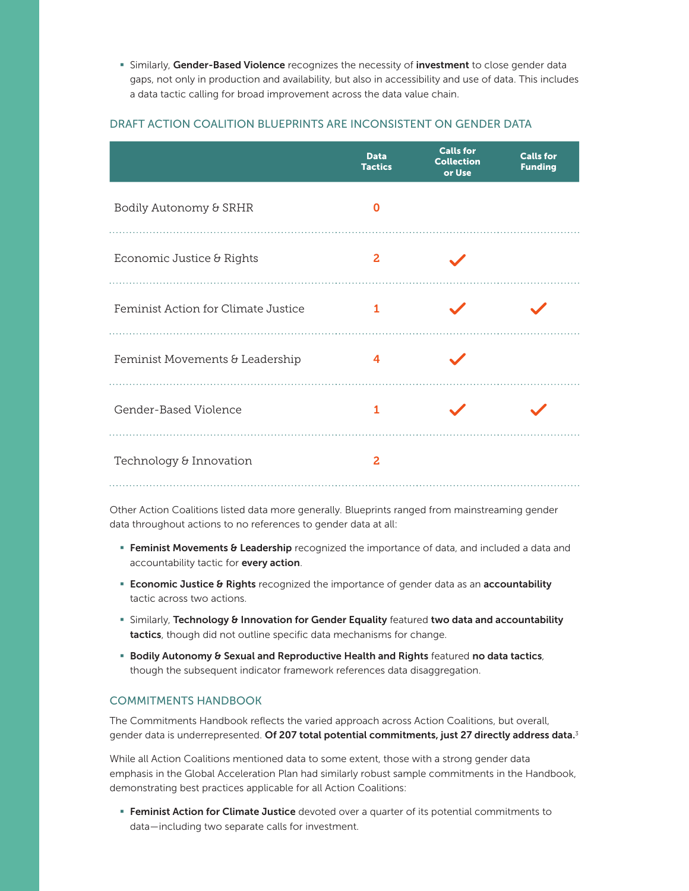**• Similarly, Gender-Based Violence** recognizes the necessity of **investment** to close gender data gaps, not only in production and availability, but also in accessibility and use of data. This includes a data tactic calling for broad improvement across the data value chain.

#### DRAFT ACTION COALITION BLUEPRINTS ARE INCONSISTENT ON GENDER DATA

|                                     | <b>Data</b><br><b>Tactics</b> | <b>Calls for</b><br><b>Collection</b><br>or Use | <b>Calls for</b><br><b>Funding</b> |
|-------------------------------------|-------------------------------|-------------------------------------------------|------------------------------------|
| Bodily Autonomy & SRHR              | O                             |                                                 |                                    |
| Economic Justice & Rights           | 2                             |                                                 |                                    |
| Feminist Action for Climate Justice | 1                             |                                                 |                                    |
| Feminist Movements & Leadership     | 4                             |                                                 |                                    |
| Gender-Based Violence               | 1                             |                                                 |                                    |
| Technology & Innovation             | 2                             |                                                 |                                    |

Other Action Coalitions listed data more generally. Blueprints ranged from mainstreaming gender data throughout actions to no references to gender data at all:

- **Feminist Movements & Leadership** recognized the importance of data, and included a data and accountability tactic for every action.
- **Economic Justice & Rights** recognized the importance of gender data as an accountability tactic across two actions.
- **Examble 1** Similarly, Technology & Innovation for Gender Equality featured two data and accountability tactics, though did not outline specific data mechanisms for change.
- **Bodily Autonomy & Sexual and Reproductive Health and Rights featured no data tactics,** though the subsequent indicator framework references data disaggregation.

#### COMMITMENTS HANDBOOK

The Commitments Handbook reflects the varied approach across Action Coalitions, but overall, gender data is underrepresented. Of 207 total potential commitments, just 27 directly address data.<sup>3</sup>

While all Action Coalitions mentioned data to some extent, those with a strong gender data emphasis in the Global Acceleration Plan had similarly robust sample commitments in the Handbook, demonstrating best practices applicable for all Action Coalitions:

**Feminist Action for Climate Justice** devoted over a quarter of its potential commitments to data—including two separate calls for investment.